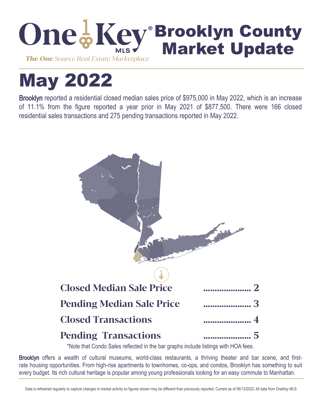

# May 2022

Brooklyn reported a residential closed median sales price of \$975,000 in May 2022, which is an increase of 11.1% from the figure reported a year prior in May 2021 of \$877,500. There were 166 closed residential sales transactions and 275 pending transactions reported in May 2022.



\*Note that Condo Sales reflected in the bar graphs include listings with HOA fees.

Brooklyn offers a wealth of cultural museums, world-class restaurants, a thriving theater and bar scene, and firstrate housing opportunities. From high-rise apartments to townhomes, co-ops, and condos, Brooklyn has something to suit every budget. Its rich cultural heritage is popular among young professionals looking for an easy commute to Manhattan.

Data is refreshed regularly to capture changes in market activity so figures shown may be different than previously reported. Current as of 06/13/2022. All data from OneKey MLS.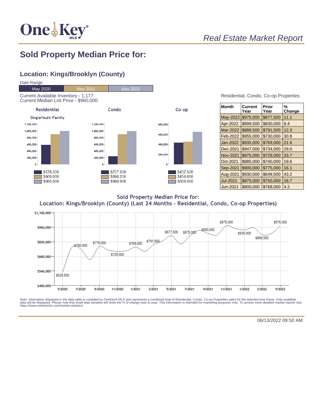

## Real Estate Market Report

### **Sold Property Median Price for:**

#### **Location: Kings/Brooklyn (County)**



| Residential, Condo, Co-op Properties |  |  |  |
|--------------------------------------|--|--|--|
|--------------------------------------|--|--|--|

| Month           | Current<br>Year | Prior<br>Year | %<br>Change |
|-----------------|-----------------|---------------|-------------|
| May-2022        | \$975,000       | \$877,500     | 11.1        |
| Apr-2022        | \$899,500       | \$830,000     | 8.4         |
| Mar-2022        | \$888,500       | \$791,500     | 12.3        |
| Feb-2022        | \$955,000       | \$730,000     | 30.8        |
| Jan-2022        | \$935,000       | \$769,000     | 21.6        |
| Dec-2021        | \$947,000       | \$734,000     | 29.0        |
| <b>Nov-2021</b> | \$975,000       | \$729,000     | 33.7        |
| Oct-2021        | \$885,000       | \$740,000     | 19.6        |
| Sep-2021        | \$900,000       | \$775,000     | 16.1        |
| Aug-2021        | \$930,000       | \$649,500     | 43.2        |
| <b>Jul-2021</b> | \$875,000       | \$750,000     | 16.7        |
| Jun-2021        | \$800,000       | \$768,000     | 4.2         |

**Sold Property Median Price for:** Location: Kings/Brooklyn (County) (Last 24 Months - Residential, Condo, Co-op Properties)



Note: Information displayed in the data table is compiled by OneKey® MLS and represents a combined total of Residential, Condo, Co-op Properties sales for the selected time frame. Only available<br>data will be displayed. Pl

06/13/2022 09:50 AM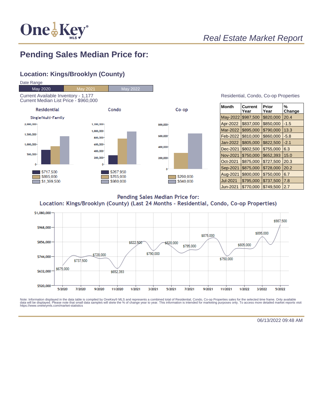

## **Pending Sales Median Price for:**

#### **Location: Kings/Brooklyn (County)**



| <b>Month</b>    | Current<br>Year | Prior<br>Year | %<br>Change |
|-----------------|-----------------|---------------|-------------|
| May-2022        | \$987,500       | \$820,000     | 20.4        |
| Apr-2022        | \$837,000       | \$850,000     | $-1.5$      |
| Mar-2022        | \$895,000       | \$790,000     | 13.3        |
| Feb-2022        | \$810,000       | \$860,000     | $-5.8$      |
| Jan-2022        | \$805,000       | \$822,500     | $-2.1$      |
| Dec-2021        | \$802,500       | \$755,000     | 6.3         |
| <b>Nov-2021</b> | \$750,000       | \$652,393     | 15.0        |
| Oct-2021        | \$875,000       | \$727,500     | 20.3        |
| Sep-2021        | \$875,000       | \$728,000     | 20.2        |
| Aug-2021        | \$800,000       | \$750,000     | 6.7         |
| Jul-2021        | \$795,000       | \$737,500     | 7.8         |
| <b>Jun-2021</b> | \$770.000       | \$749,500     | 2.7         |

Pending Sales Median Price for: Location: Kings/Brooklyn (County) (Last 24 Months - Residential, Condo, Co-op Properties)



Note: Information displayed in the data table is compiled by OneKey® MLS and represents a combined total of Residential, Condo, Co-op Properties sales for the selected time frame. Only available<br>data will be displayed. Pl

06/13/2022 09:48 AM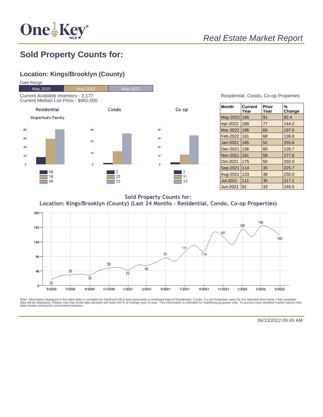

## Real Estate Market Report

## **Sold Property Counts for:**

#### **Location: Kings/Brooklyn (County)**



#### Residential, Condo, Co-op Properties

| <b>Month</b> | Current<br>Year | Prior<br>Year | %<br>Change |
|--------------|-----------------|---------------|-------------|
| May-2022     | 166             | 91            | 82.4        |
| Apr-2022     | 188             | 77            | 144.2       |
| Mar-2022     | 196             | 66            | 197.0       |
| Feb-2022     | 161             | 68            | 136.8       |
| Jan-2022     | 185             | 52            | 255.8       |
| Dec-2021     | 136             | 60            | 126.7       |
| Nov-2021     | 161             | 58            | 177.6       |
| Oct-2021     | 175             | 50            | 250.0       |
| Sep-2021     | 114             | 35            | 225.7       |
| Aug-2021     | 133             | 38            | 250.0       |
| Jul-2021     | 111             | 35            | 217.1       |
| Uun-2021     | 81              | 33            | 145.5       |

**Sold Property Counts for:** Location: Kings/Brooklyn (County) (Last 24 Months - Residential, Condo, Co-op Properties)



Note: Information displayed in the data table is compiled by OneKey® MLS and represents a combined total of Residential, Condo, Co-op Properties sales for the selected time frame. Only available<br>data will be displayed. Pl

06/13/2022 09:49 AM